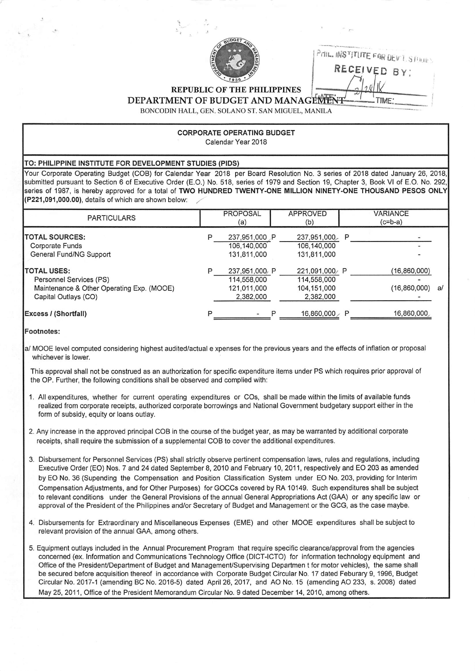

Prin, INS<sup>TITUTE FOR DEVISIONE</sub></sup> RECEIVED BY:

TIME:

REPUBLIC OF THE PHILIPPINES

DEPARTMENT OF BUDGET AND MANAGEMENT

BONCODIN HALL, GEN. SOLANO ST. SAN MIGUEL, MANILA

## CORPORATE OPERATING BUDGET Calendar Year 2018

## TO: PHILIPPINE INSTITUTE FOR DEVELOPMENT STUDIES (PIDS)

Your Corporate Operating Budget (COB) for Calendar Year 2018 per Board Resolution No. 3 series of 2018 dated January 26, 2018, submitted pursuant to Section 6 of Executive Order (E.O.) No. 518, series of 1979 and Section 19, Chapter 3, Book VI of E.O. No. 292, series of 1987, is hereby approved for a total of TWO HUNDRED TWENTY-ONE MILLION NINETY-ONE THOUSAND PESOS ONLY {P221,091,000.00), details of which are shown below; ^

| <b>PARTICULARS</b>                                                                                                 | <b>PROPOSAL</b><br>(a)                                   | <b>APPROVED</b><br>(b)                                   |   | VARIANCE<br>$(c=b-a)$             |  |
|--------------------------------------------------------------------------------------------------------------------|----------------------------------------------------------|----------------------------------------------------------|---|-----------------------------------|--|
| <b>ITOTAL SOURCES:</b><br>Corporate Funds<br>General Fund/NG Support                                               | 237,951,000 P<br>106,140,000<br>131,811,000              | 237,951,000 P<br>106,140,000<br>131,811,000              |   |                                   |  |
| <b>TOTAL USES:</b><br>Personnel Services (PS)<br>Maintenance & Other Operating Exp. (MOOE)<br>Capital Outlays (CO) | 237,951,000 P<br>114,558,000<br>121.011.000<br>2,382,000 | 221,091,000 P<br>114,558,000<br>104,151,000<br>2,382,000 |   | (16,860,000)<br>$(16,860,000)$ a/ |  |
| <b>Excess / (Shortfall)</b>                                                                                        |                                                          | 16,860,000                                               | P | 16,860,000                        |  |

## Footnotes:

a/ MOOE level computed considering highest audited/actual e xpenses for the previous years and the effects of inflation or proposal whichever is lower.

This approval shall not be construed as an authorization for specific expenditure items under PS which requires prior approval of the OP. Further, the following conditions shall be observed and complied with;

- 1. All expenditures, whether for current operating expenditures or COs, shall be made within the limits of available funds realized from corporate receipts, authorized corporate borrowings and National Government budgetary support either in the form of subsidy, equity or loans outlay.
- 2. Any increase in the approved principal COB in the course of the budget year, as may be warranted by additional corporate receipts, shall require the submission of a supplemental COB to cover the additional expenditures.
- 3. Disbursement for Personnel Services (PS) shall strictly observe pertinent compensation laws, rules and regulations, including Executive Order (EO) Nos. 7 and 24 dated September 8, 2010 and February 10, 2011, respectively and EO 203 as amended by EO No. 36 (Supending the Compensation and Position Classification System under EO No. 203, providing for Interim Compensation Adjustments, and for Other Purposes) for GOCCs covered by RA 10149. Such expenditures shall be subject to relevant conditions under the General Provisions of the annual General Appropriations Act (GAA) or any specific law or approval of the President of the Philippines and/or Secretary of Budget and Management or the GCG, as the case maybe.
- 4. Disbursements for Extraordinary and Miscellaneous Expenses (EME) and other MOOE expenditures shall be subject to relevant provision of the annual GAA, among others.
- 5. Equipment outlays included in the Annual Procurement Program that require specific clearance/approval from the agencies concerned (ex. Information and Communications Technology Office (DICT-ICTO) for information technology equipment and Office of the President/Department of Budget and Management/Supervising Departmen t for motor vehicles), the same shall be secured before acquisition thereof in accordance with Corporate Budget Circular No. 17 dated Feburary 9, 1996, Budget Circular No. 2017-1 (amending BC No. 2016-5) dated April 26, 2017, and AO No. 15 (amending AO 233, s. 2008) dated May 25, 2011, Office of the President Memorandum Circular No. 9 dated December 14, 2010, among others.